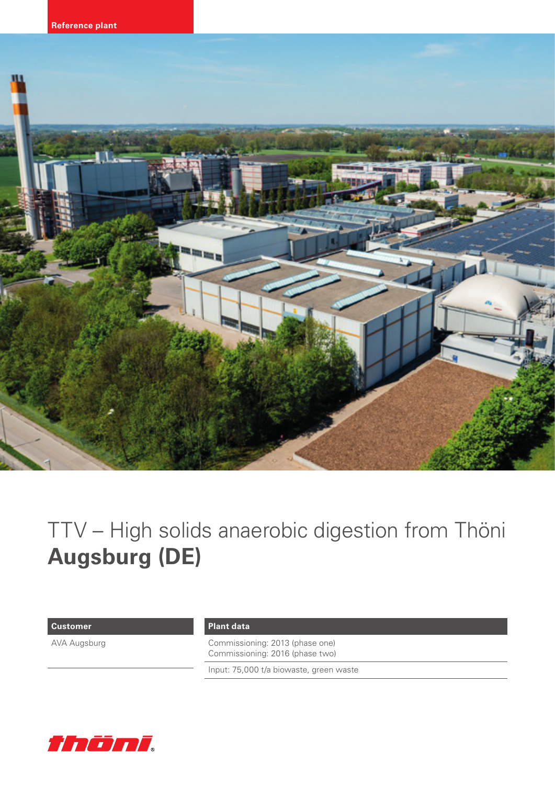

# TTV – High solids anaerobic digestion from Thöni **Augsburg (DE)**

### **Customer**

AVA Augsburg

## **Plant data**

Commissioning: 2013 (phase one) Commissioning: 2016 (phase two)

Input: 75,000 t/a biowaste, green waste